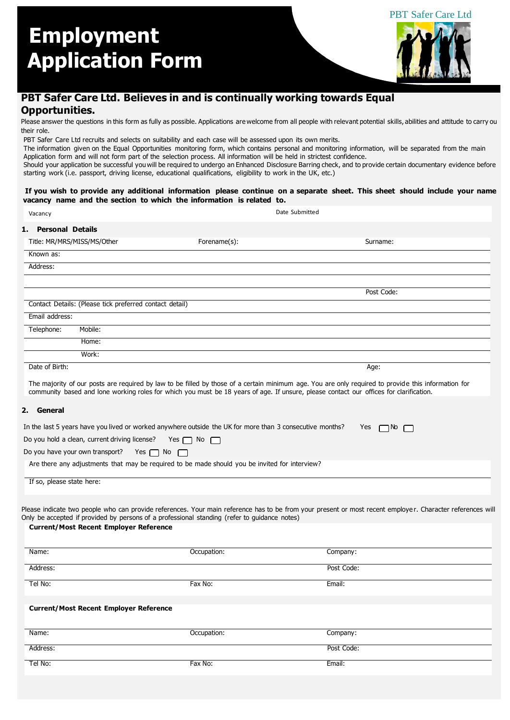

## **PBT Safer Care Ltd. Believes in and is continually working towards Equal Opportunities.**

Please answer the questions in this form as fully as possible. Applications are welcome from all people with relevant potential skills, abilities and attitude to carry ou their role.

PBT Safer Care Ltd recruits and selects on suitability and each case will be assessed upon its own merits.

The information given on the Equal Opportunities monitoring form, which contains personal and monitoring information, will be separated from the main Application form and will not form part of the selection process. All information will be held in strictest confidence.

Should your application be successful youwill be required to undergo an Enhanced Disclosure Barring check, and to provide certain documentary evidence before starting work (i.e. passport, driving license, educational qualifications, eligibility to work in the UK, etc.)

#### **If you wish to provide any additional information please continue on a separate sheet. This sheet should include your name vacancy name and the section to which the information is related to.**

| Vacancy                   |                                                         |                                                                                                          | Date Submitted                                                                                                                                                                                                                                                                                |
|---------------------------|---------------------------------------------------------|----------------------------------------------------------------------------------------------------------|-----------------------------------------------------------------------------------------------------------------------------------------------------------------------------------------------------------------------------------------------------------------------------------------------|
| 1. Personal Details       |                                                         |                                                                                                          |                                                                                                                                                                                                                                                                                               |
|                           | Title: MR/MRS/MISS/MS/Other                             | Forename(s):                                                                                             | Surname:                                                                                                                                                                                                                                                                                      |
| Known as:                 |                                                         |                                                                                                          |                                                                                                                                                                                                                                                                                               |
| Address:                  |                                                         |                                                                                                          |                                                                                                                                                                                                                                                                                               |
|                           |                                                         |                                                                                                          |                                                                                                                                                                                                                                                                                               |
|                           |                                                         |                                                                                                          | Post Code:                                                                                                                                                                                                                                                                                    |
|                           | Contact Details: (Please tick preferred contact detail) |                                                                                                          |                                                                                                                                                                                                                                                                                               |
| Email address:            |                                                         |                                                                                                          |                                                                                                                                                                                                                                                                                               |
| Telephone:                | Mobile:                                                 |                                                                                                          |                                                                                                                                                                                                                                                                                               |
|                           | Home:                                                   |                                                                                                          |                                                                                                                                                                                                                                                                                               |
|                           | Work:                                                   |                                                                                                          |                                                                                                                                                                                                                                                                                               |
| Date of Birth:            |                                                         |                                                                                                          | Age:                                                                                                                                                                                                                                                                                          |
|                           |                                                         |                                                                                                          | The majority of our posts are required by law to be filled by those of a certain minimum age. You are only required to provide this information for<br>community based and lone working roles for which you must be 18 years of age. If unsure, please contact our offices for clarification. |
| 2. General                |                                                         |                                                                                                          |                                                                                                                                                                                                                                                                                               |
|                           |                                                         | In the last 5 years have you lived or worked anywhere outside the UK for more than 3 consecutive months? | Yes<br>$\Box$ No                                                                                                                                                                                                                                                                              |
|                           | Do you hold a clean, current driving license?           | Yes $\Box$ No $\Box$                                                                                     |                                                                                                                                                                                                                                                                                               |
|                           | Do you have your own transport?                         | Yes $\Box$ No<br>$\mathbf{L}$                                                                            |                                                                                                                                                                                                                                                                                               |
|                           |                                                         | Are there any adjustments that may be required to be made should you be invited for interview?           |                                                                                                                                                                                                                                                                                               |
| If so, please state here: |                                                         |                                                                                                          |                                                                                                                                                                                                                                                                                               |
|                           |                                                         |                                                                                                          |                                                                                                                                                                                                                                                                                               |
|                           |                                                         |                                                                                                          | Please indicate two people who can provide references. Your main reference has to be from your present or most recent employer. Character references will                                                                                                                                     |
|                           |                                                         | Only be accepted if provided by persons of a professional standing (refer to guidance notes)             |                                                                                                                                                                                                                                                                                               |
|                           | <b>Current/Most Recent Employer Reference</b>           |                                                                                                          |                                                                                                                                                                                                                                                                                               |
|                           |                                                         |                                                                                                          |                                                                                                                                                                                                                                                                                               |
| Name:                     |                                                         | Occupation:                                                                                              | Company:                                                                                                                                                                                                                                                                                      |
| Address:                  |                                                         |                                                                                                          | Post Code:                                                                                                                                                                                                                                                                                    |
| Tel No:                   |                                                         | Fax No:                                                                                                  | Email:                                                                                                                                                                                                                                                                                        |
|                           | <b>Current/Most Recent Employer Reference</b>           |                                                                                                          |                                                                                                                                                                                                                                                                                               |
|                           |                                                         |                                                                                                          |                                                                                                                                                                                                                                                                                               |
| Name:                     |                                                         | Occupation:                                                                                              | Company:                                                                                                                                                                                                                                                                                      |
| Address:                  |                                                         |                                                                                                          | Post Code:                                                                                                                                                                                                                                                                                    |
| Tel No:                   |                                                         | Fax No:                                                                                                  | Email:                                                                                                                                                                                                                                                                                        |
|                           |                                                         |                                                                                                          |                                                                                                                                                                                                                                                                                               |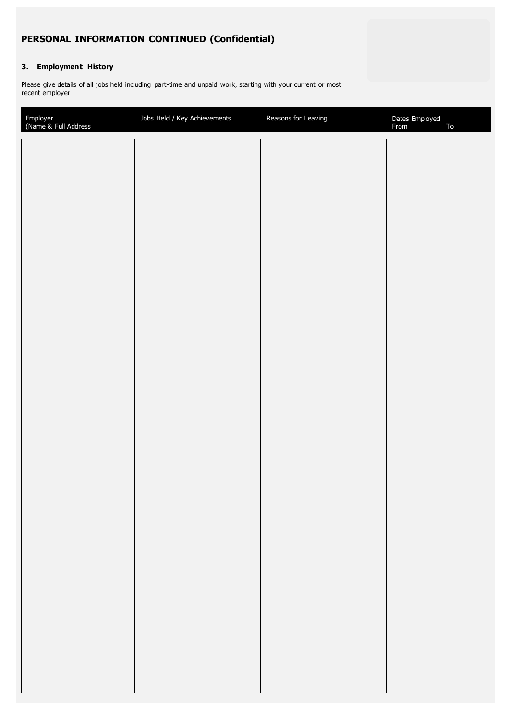## **PERSONAL INFORMATION CONTINUED (Confidential)**

## **3. Employment History**

Please give details of all jobs held including part-time and unpaid work, starting with your current or most recent employer

| Employer<br>(Name & Full Address | Jobs Held / Key Achievements | Reasons for Leaving | Dates Employed<br>From | ${\tt To}$ |
|----------------------------------|------------------------------|---------------------|------------------------|------------|
|                                  |                              |                     |                        |            |
|                                  |                              |                     |                        |            |
|                                  |                              |                     |                        |            |
|                                  |                              |                     |                        |            |
|                                  |                              |                     |                        |            |
|                                  |                              |                     |                        |            |
|                                  |                              |                     |                        |            |
|                                  |                              |                     |                        |            |
|                                  |                              |                     |                        |            |
|                                  |                              |                     |                        |            |
|                                  |                              |                     |                        |            |
|                                  |                              |                     |                        |            |
|                                  |                              |                     |                        |            |
|                                  |                              |                     |                        |            |
|                                  |                              |                     |                        |            |
|                                  |                              |                     |                        |            |
|                                  |                              |                     |                        |            |
|                                  |                              |                     |                        |            |
|                                  |                              |                     |                        |            |
|                                  |                              |                     |                        |            |
|                                  |                              |                     |                        |            |
|                                  |                              |                     |                        |            |
|                                  |                              |                     |                        |            |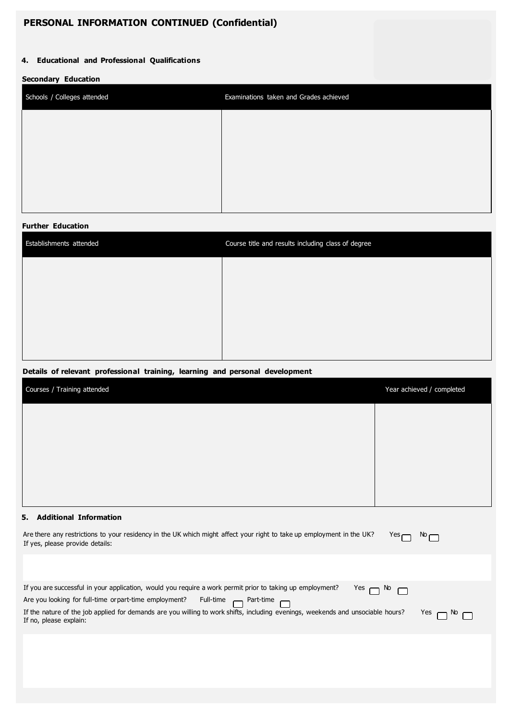## **PERSONAL INFORMATION CONTINUED (Confidential)**

## **4. Educational and Professional Qualifications**

#### **Secondary Education**

| Schools / Colleges attended | Examinations taken and Grades achieved |
|-----------------------------|----------------------------------------|
|                             |                                        |
|                             |                                        |
|                             |                                        |
|                             |                                        |

#### **Further Education**

| Establishments attended | Course title and results including class of degree |
|-------------------------|----------------------------------------------------|
|                         |                                                    |
|                         |                                                    |
|                         |                                                    |
|                         |                                                    |
|                         |                                                    |

## **Details of relevant professional training, learning and personal development**

| Courses / Training attended | Year achieved / completed |
|-----------------------------|---------------------------|
|                             |                           |
|                             |                           |
|                             |                           |
|                             |                           |

## **5. Additional Information**

| Are there any restrictions to your residency in the UK which might affect your right to take up employment in the UK?<br>Yes $\Box$<br>If yes, please provide details:                                                                                                                                                                                                    | $\infty$               |
|---------------------------------------------------------------------------------------------------------------------------------------------------------------------------------------------------------------------------------------------------------------------------------------------------------------------------------------------------------------------------|------------------------|
|                                                                                                                                                                                                                                                                                                                                                                           |                        |
| If you are successful in your application, would you require a work permit prior to taking up employment?<br>$Yes \cap \& \cap$<br>Are you looking for full-time or part-time employment? Full-time met-time<br>If the nature of the job applied for demands are you willing to work shifts, including evenings, weekends and unsociable hours?<br>If no, please explain: | $Yes \cap \aleph \cap$ |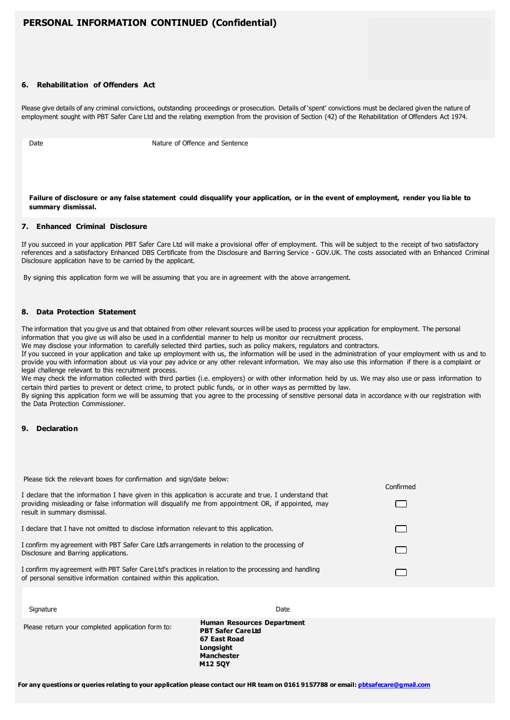## **PERSONAL INFORMATION CONTINUED (Confidential)**

#### **6. Rehabilitation of Offenders Act**

Please give details of any criminal convictions, outstanding proceedings or prosecution. Details of 'spent' convictions must be declared given the nature of employment sought with PBT Safer Care Ltd and the relating exemption from the provision of Section (42) of the Rehabilitation of Offenders Act 1974.

Date **Nature of Offence and Sentence** 

#### **Failure of disclosure or any false statement could disqualify your application, or in the event of employment, render you lia ble to summary dismissal.**

#### **7. Enhanced Criminal Disclosure**

If you succeed in your application PBT Safer Care Ltd will make a provisional offer of employment. This will be subject to the receipt of two satisfactory references and a satisfactory Enhanced DBS Certificate from the Disclosure and Barring Service - GOV.UK. The costs associated with an Enhanced Criminal Disclosure application have to be carried by the applicant.

By signing this application form we will be assuming that you are in agreement with the above arrangement.

#### **8. Data Protection Statement**

The information that you give us and that obtained from other relevant sources will be used to process your application for employment. The personal information that you give us will also be used in a confidential manner to help us monitor our recruitment process.

We may disclose your information to carefully selected third parties, such as policy makers, regulators and contractors.

If you succeed in your application and take up employment with us, the information will be used in the administration of your employment with us and to provide you with information about us via your pay advice or any other relevant information. We may also use this information if there is a complaint or legal challenge relevant to this recruitment process.

We may check the information collected with third parties (i.e. employers) or with other information held by us. We may also use or pass information to certain third parties to prevent or detect crime, to protect public funds, or in other ways as permitted by law.

By signing this application form we will be assuming that you agree to the processing of sensitive personal data in accordance with our registration with the Data Protection Commissioner.

#### **9. Declaration**

| Please tick the relevant boxes for confirmation and sign/date below:<br>I declare that the information I have given in this application is accurate and true. I understand that<br>providing misleading or false information will disqualify me from appointment OR, if appointed, may<br>result in summary dismissal. | Confirmed |
|------------------------------------------------------------------------------------------------------------------------------------------------------------------------------------------------------------------------------------------------------------------------------------------------------------------------|-----------|
| I declare that I have not omitted to disclose information relevant to this application.                                                                                                                                                                                                                                |           |
| I confirm my agreement with PBT Safer Care Ltd's arrangements in relation to the processing of<br>Disclosure and Barring applications.                                                                                                                                                                                 |           |
| I confirm my agreement with PBT Safer Care Ltd's practices in relation to the processing and handling<br>of personal sensitive information contained within this application.                                                                                                                                          |           |

| Please return your completed application form to: | <b>Human Resources Department</b><br><b>PBT Safer CareLtd</b> |
|---------------------------------------------------|---------------------------------------------------------------|
|                                                   | 67 East Road<br>Longsight                                     |
|                                                   | Manchester                                                    |

Signature Date Date of the Contract of the Contract of the Contract of the Date Date Date of the Contract of the Date of the Contract of the Contract of the Contract of the Contract of the Contract of the Contract of the C

**For any questions or queries relating to your application please contact our HR team on 0161 9157788 or email[: pbtsafecare@gmail.com](mailto:pbtsafecare@gmail.com)**

**M12 5QY**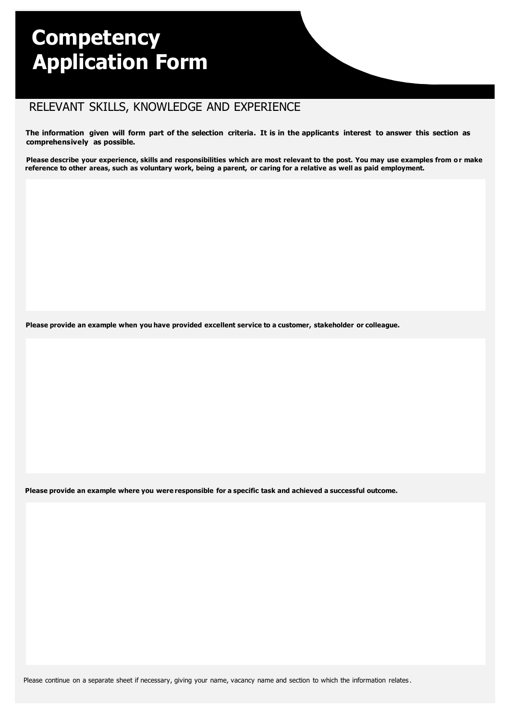# **Competency Application Form**

# RELEVANT SKILLS, KNOWLEDGE AND EXPERIENCE

**The information given will form part of the selection criteria. It is in the applicants interest to answer this section as comprehensively as possible.**

**Please describe your experience, skills and responsibilities which are most relevant to the post. You may use examples from o r make reference to other areas, such as voluntary work, being a parent, or caring for a relative as well as paid employment.**

**Please provide an example when you have provided excellent service to a customer, stakeholder or colleague.**

Please provide an example where you were responsible for a specific task and achieved a successful outcome.

Please continue on a separate sheet if necessary, giving your name, vacancy name and section to which the information relates.